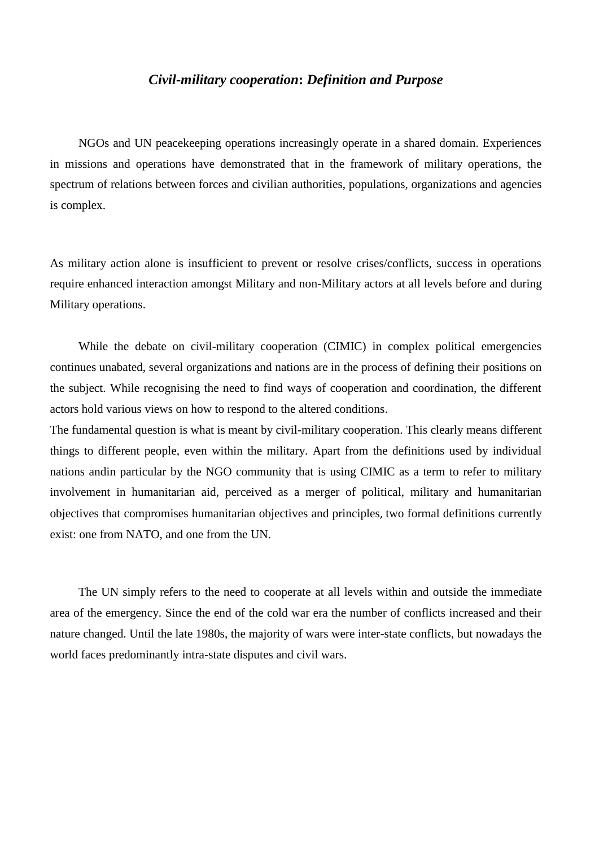## *Civil-military cooperation***:** *Definition and Purpose*

NGOs and UN peacekeeping operations increasingly operate in a shared domain. Experiences in missions and operations have demonstrated that in the framework of military operations, the spectrum of relations between forces and civilian authorities, populations, organizations and agencies is complex.

As military action alone is insufficient to prevent or resolve crises/conflicts, success in operations require enhanced interaction amongst Military and non-Military actors at all levels before and during Military operations.

While the debate on civil-military cooperation (CIMIC) in complex political emergencies continues unabated, several organizations and nations are in the process of defining their positions on the subject. While recognising the need to find ways of cooperation and coordination, the different actors hold various views on how to respond to the altered conditions.

The fundamental question is what is meant by civil-military cooperation. This clearly means different things to different people, even within the military. Apart from the definitions used by individual nations andin particular by the NGO community that is using CIMIC as a term to refer to military involvement in humanitarian aid, perceived as a merger of political, military and humanitarian objectives that compromises humanitarian objectives and principles, two formal definitions currently exist: one from NATO, and one from the UN.

The UN simply refers to the need to cooperate at all levels within and outside the immediate area of the emergency. Since the end of the cold war era the number of conflicts increased and their nature changed. Until the late 1980s, the majority of wars were inter-state conflicts, but nowadays the world faces predominantly intra-state disputes and civil wars.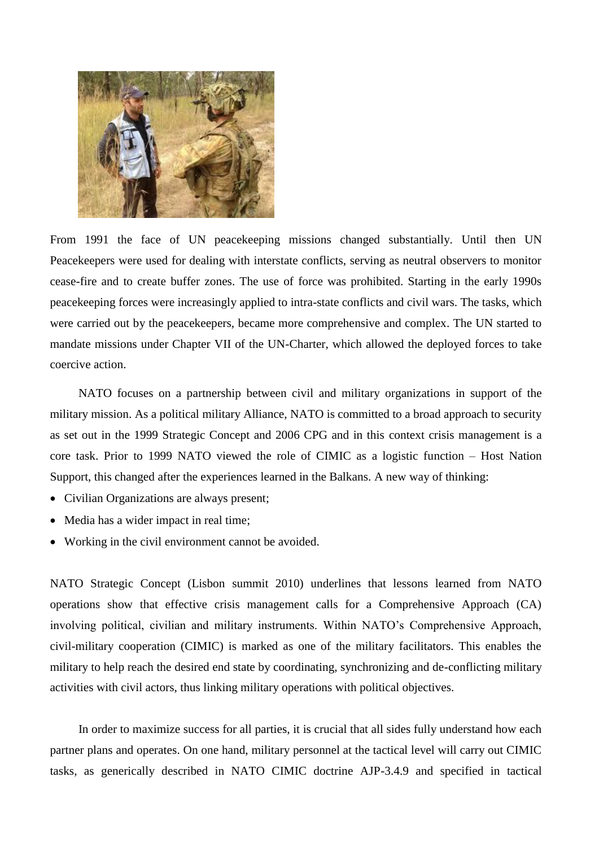

From 1991 the face of UN peacekeeping missions changed substantially. Until then UN Peacekeepers were used for dealing with interstate conflicts, serving as neutral observers to monitor cease-fire and to create buffer zones. The use of force was prohibited. Starting in the early 1990s peacekeeping forces were increasingly applied to intra-state conflicts and civil wars. The tasks, which were carried out by the peacekeepers, became more comprehensive and complex. The UN started to mandate missions under Chapter VII of the UN-Charter, which allowed the deployed forces to take coercive action.

NATO focuses on a partnership between civil and military organizations in support of the military mission. As a political military Alliance, NATO is committed to a broad approach to security as set out in the 1999 Strategic Concept and 2006 CPG and in this context crisis management is a core task. Prior to 1999 NATO viewed the role of CIMIC as a logistic function – Host Nation Support, this changed after the experiences learned in the Balkans. A new way of thinking:

- Civilian Organizations are always present;
- Media has a wider impact in real time;
- Working in the civil environment cannot be avoided.

NATO Strategic Concept (Lisbon summit 2010) underlines that lessons learned from NATO operations show that effective crisis management calls for a Comprehensive Approach (CA) involving political, civilian and military instruments. Within NATO"s Comprehensive Approach, civil-military cooperation (CIMIC) is marked as one of the military facilitators. This enables the military to help reach the desired end state by coordinating, synchronizing and de-conflicting military activities with civil actors, thus linking military operations with political objectives.

In order to maximize success for all parties, it is crucial that all sides fully understand how each partner plans and operates. On one hand, military personnel at the tactical level will carry out CIMIC tasks, as generically described in NATO CIMIC doctrine AJP-3.4.9 and specified in tactical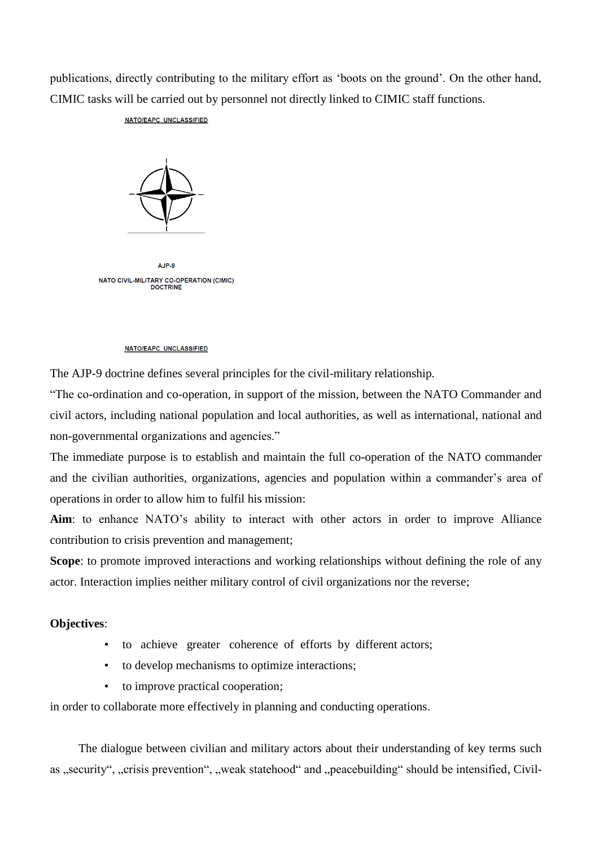publications, directly contributing to the military effort as "boots on the ground". On the other hand, CIMIC tasks will be carried out by personnel not directly linked to CIMIC staff functions.

## NATO/EAPC UNCLASSIFIED



AJP-9 NATO CIVIL-MILITARY CO-OPERATION (CIMIC) **DOCTRINE** 

## NATO/EAPC UNCLASSIFIED

The AJP-9 doctrine defines several principles for the civil-military relationship.

"The co-ordination and co-operation, in support of the mission, between the NATO Commander and civil actors, including national population and local authorities, as well as international, national and non-governmental organizations and agencies."

The immediate purpose is to establish and maintain the full co-operation of the NATO commander and the civilian authorities, organizations, agencies and population within a commander's area of operations in order to allow him to fulfil his mission:

Aim: to enhance NATO's ability to interact with other actors in order to improve Alliance contribution to crisis prevention and management;

**Scope**: to promote improved interactions and working relationships without defining the role of any actor. Interaction implies neither military control of civil organizations nor the reverse;

## **Objectives**:

- to achieve greater coherence of efforts by different actors;
- to develop mechanisms to optimize interactions;
- to improve practical cooperation;

in order to collaborate more effectively in planning and conducting operations.

The dialogue between civilian and military actors about their understanding of key terms such as "security", "crisis prevention", "weak statehood" and "peacebuilding" should be intensified, Civil